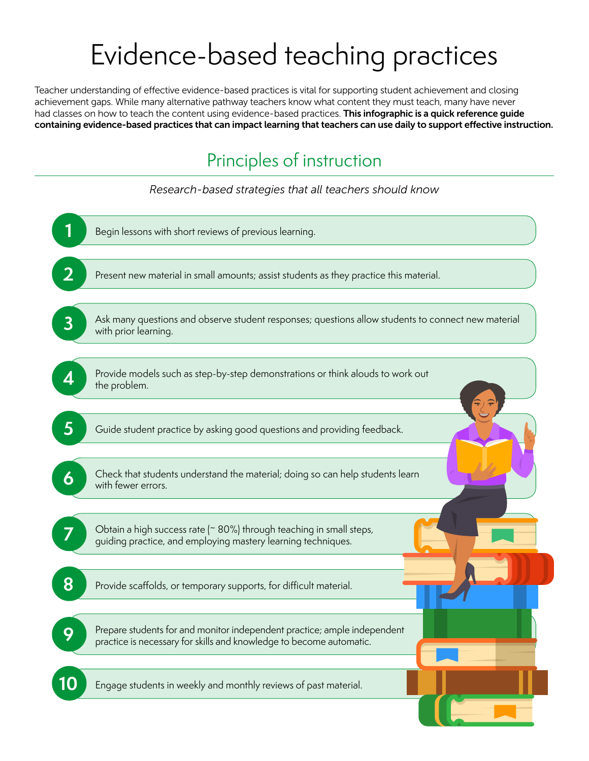## Evidence-based teaching practices

Teacher understanding of effective evidence-based practices is vital for supporting student achievement and closing achievement gaps. While many alternative pathway teachers know what content they must teach, many have never had classes on how to teach the content using evidence-based practices. This infographic is a quick reference quide containing evidence-based practices that can impact learning that teachers can use daily to support effective instruction.

## Principles of instruction